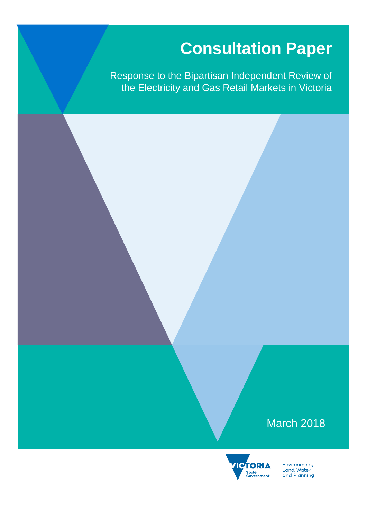# **Consultation Paper**

Response to the Bipartisan Independent Review of the Electricity and Gas Retail Markets in Victoria

# March 2018



Environment,<br>Land, Water<br>and Planning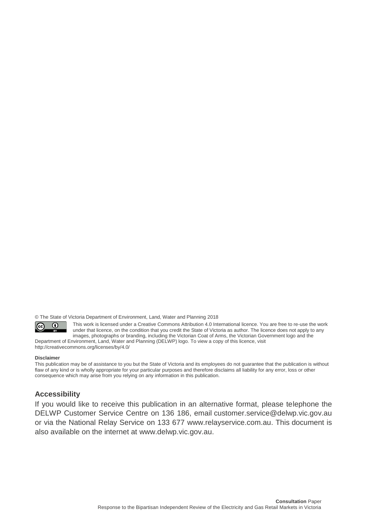© The State of Victoria Department of Environment, Land, Water and Planning 2018



This work is licensed under a Creative Commons Attribution 4.0 International licence. You are free to re-use the work under that licence, on the condition that you credit the State of Victoria as author. The licence does not apply to any images, photographs or branding, including the Victorian Coat of Arms, the Victorian Government logo and the Department of Environment, Land, Water and Planning (DELWP) logo. To view a copy of this licence, visit

<http://creativecommons.org/licenses/by/4.0/>

#### **Disclaimer**

This publication may be of assistance to you but the State of Victoria and its employees do not guarantee that the publication is without flaw of any kind or is wholly appropriate for your particular purposes and therefore disclaims all liability for any error, loss or other consequence which may arise from you relying on any information in this publication.

#### **Accessibility**

If you would like to receive this publication in an alternative format, please telephone the DELWP Customer Service Centre on 136 186, email [customer.service@delwp.vic.gov.au](mailto:customer.service@delwp.vic.gov.au) or via the National Relay Service on 133 677 [www.relayservice.com.au.](http://www.relayservice.com.au/) This document is also available on the internet at [www.delwp.vic.gov.au.](http://www.delwp.vic.gov.au/)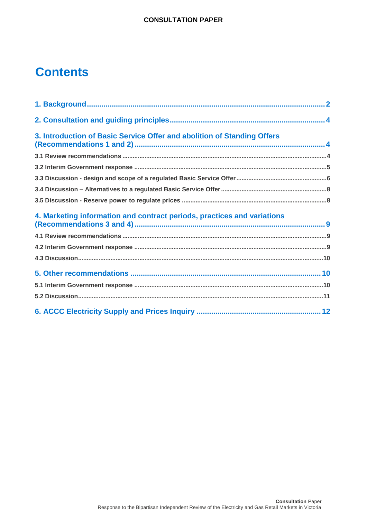# **Contents**

| 3. Introduction of Basic Service Offer and abolition of Standing Offers |  |
|-------------------------------------------------------------------------|--|
|                                                                         |  |
|                                                                         |  |
|                                                                         |  |
|                                                                         |  |
|                                                                         |  |
|                                                                         |  |
| 4. Marketing information and contract periods, practices and variations |  |
|                                                                         |  |
|                                                                         |  |
|                                                                         |  |
|                                                                         |  |
|                                                                         |  |
|                                                                         |  |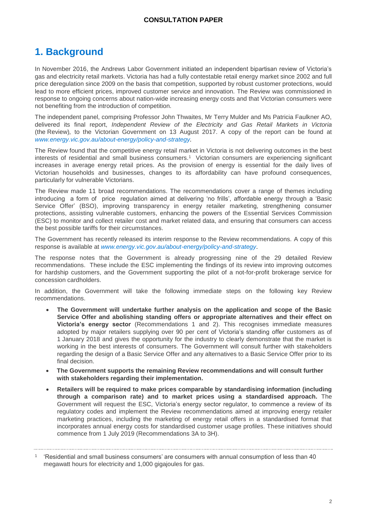# <span id="page-3-0"></span>**1. Background**

In November 2016, the Andrews Labor Government initiated an independent bipartisan review of Victoria's gas and electricity retail markets. Victoria has had a fully contestable retail energy market since 2002 and full price deregulation since 2009 on the basis that competition, supported by robust customer protections, would lead to more efficient prices, improved customer service and innovation. The Review was commissioned in response to ongoing concerns about nation-wide increasing energy costs and that Victorian consumers were not benefiting from the introduction of competition.

The independent panel, comprising Professor John Thwaites, Mr Terry Mulder and Ms Patricia Faulkner AO, delivered its final report, *Independent Review of the Electricity and Gas Retail Markets in Victoria* (the Review)*,* to the Victorian Government on 13 August 2017. A copy of the report can be found at *[www.energy.vic.gov.au/about-energy/policy-and-strategy.](https://www.energy.vic.gov.au/about-energy/policy-and-strategy)*

The Review found that the competitive energy retail market in Victoria is not delivering outcomes in the best interests of residential and small business consumers.<sup>1</sup> Victorian consumers are experiencing significant increases in average energy retail prices. As the provision of energy is essential for the daily lives of Victorian households and businesses, changes to its affordability can have profound consequences, particularly for vulnerable Victorians.

The Review made 11 broad recommendations. The recommendations cover a range of themes including introducing a form of price regulation aimed at delivering 'no frills', affordable energy through a 'Basic Service Offer' (BSO), improving transparency in energy retailer marketing, strengthening consumer protections, assisting vulnerable customers, enhancing the powers of the Essential Services Commission (ESC) to monitor and collect retailer cost and market related data, and ensuring that consumers can access the best possible tariffs for their circumstances.

The Government has recently released its interim response to the Review recommendations. A copy of this response is available at *[www.energy.vic.gov.au/about-energy/policy-and-strategy](https://www.energy.vic.gov.au/about-energy/policy-and-strategy)*.

The response notes that the Government is already progressing nine of the 29 detailed Review recommendations. These include the ESC implementing the findings of its review into improving outcomes for hardship customers, and the Government supporting the pilot of a not-for-profit brokerage service for concession cardholders.

In addition, the Government will take the following immediate steps on the following key Review recommendations.

- **The Government will undertake further analysis on the application and scope of the Basic Service Offer and abolishing standing offers or appropriate alternatives and their effect on Victoria's energy sector** (Recommendations 1 and 2). This recognises immediate measures adopted by major retailers supplying over 90 per cent of Victoria's standing offer customers as of 1 January 2018 and gives the opportunity for the industry to clearly demonstrate that the market is working in the best interests of consumers. The Government will consult further with stakeholders regarding the design of a Basic Service Offer and any alternatives to a Basic Service Offer prior to its final decision.
- **The Government supports the remaining Review recommendations and will consult further with stakeholders regarding their implementation.**
- **Retailers will be required to make prices comparable by standardising information (including through a comparison rate) and to market prices using a standardised approach.** The Government will request the ESC, Victoria's energy sector regulator, to commence a review of its regulatory codes and implement the Review recommendations aimed at improving energy retailer marketing practices, including the marketing of energy retail offers in a standardised format that incorporates annual energy costs for standardised customer usage profiles. These initiatives should commence from 1 July 2019 (Recommendations 3A to 3H).

<sup>1</sup> 'Residential and small business consumers' are consumers with annual consumption of less than 40 megawatt hours for electricity and 1,000 gigajoules for gas.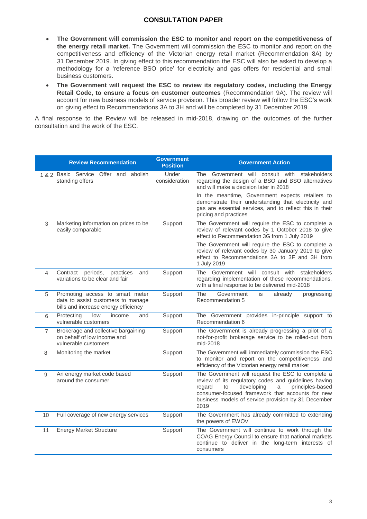- **The Government will commission the ESC to monitor and report on the competitiveness of the energy retail market.** The Government will commission the ESC to monitor and report on the competitiveness and efficiency of the Victorian energy retail market (Recommendation 8A) by 31 December 2019. In giving effect to this recommendation the ESC will also be asked to develop a methodology for a 'reference BSO price' for electricity and gas offers for residential and small business customers.
- **The Government will request the ESC to review its regulatory codes, including the Energy Retail Code, to ensure a focus on customer outcomes** (Recommendation 9A). The review will account for new business models of service provision. This broader review will follow the ESC's work on giving effect to Recommendations 3A to 3H and will be completed by 31 December 2019.

A final response to the Review will be released in mid-2018, drawing on the outcomes of the further consultation and the work of the ESC.

|    | <b>Review Recommendation</b>                                                                                  | <b>Government</b><br><b>Position</b> | <b>Government Action</b>                                                                                                                                                                                                                                                            |
|----|---------------------------------------------------------------------------------------------------------------|--------------------------------------|-------------------------------------------------------------------------------------------------------------------------------------------------------------------------------------------------------------------------------------------------------------------------------------|
|    | 1 & 2 Basic Service Offer and abolish<br>standing offers                                                      | Under<br>consideration               | The Government will consult with stakeholders<br>regarding the design of a BSO and BSO alternatives<br>and will make a decision later in 2018                                                                                                                                       |
|    |                                                                                                               |                                      | In the meantime, Government expects retailers to<br>demonstrate their understanding that electricity and<br>gas are essential services, and to reflect this in their<br>pricing and practices                                                                                       |
| 3  | Marketing information on prices to be<br>easily comparable                                                    | Support                              | The Government will require the ESC to complete a<br>review of relevant codes by 1 October 2018 to give<br>effect to Recommendation 3G from 1 July 2019                                                                                                                             |
|    |                                                                                                               |                                      | The Government will require the ESC to complete a<br>review of relevant codes by 30 January 2019 to give<br>effect to Recommendations 3A to 3F and 3H from<br>1 July 2019                                                                                                           |
| 4  | Contract periods,<br>practices<br>and<br>variations to be clear and fair                                      | Support                              | The Government will consult with stakeholders<br>regarding implementation of these recommendations,<br>with a final response to be delivered mid-2018                                                                                                                               |
| 5  | Promoting access to smart meter<br>data to assist customers to manage<br>bills and increase energy efficiency | Support                              | The<br>Government<br>is<br>already<br>progressing<br>Recommendation 5                                                                                                                                                                                                               |
| 6  | low<br>Protecting<br>income<br>and<br>vulnerable customers                                                    | Support                              | The Government provides in-principle support to<br>Recommendation 6                                                                                                                                                                                                                 |
| 7  | Brokerage and collective bargaining<br>on behalf of low income and<br>vulnerable customers                    | Support                              | The Government is already progressing a pilot of a<br>not-for-profit brokerage service to be rolled-out from<br>mid-2018                                                                                                                                                            |
| 8  | Monitoring the market                                                                                         | Support                              | The Government will immediately commission the ESC<br>to monitor and report on the competitiveness and<br>efficiency of the Victorian energy retail market                                                                                                                          |
| 9  | An energy market code based<br>around the consumer                                                            | Support                              | The Government will request the ESC to complete a<br>review of its regulatory codes and guidelines having<br>developing<br>principles-based<br>regard<br>to<br>a<br>consumer-focused framework that accounts for new<br>business models of service provision by 31 December<br>2019 |
| 10 | Full coverage of new energy services                                                                          | Support                              | The Government has already committed to extending<br>the powers of EWOV                                                                                                                                                                                                             |
| 11 | <b>Energy Market Structure</b>                                                                                | Support                              | The Government will continue to work through the<br>COAG Energy Council to ensure that national markets<br>continue to deliver in the long-term interests of<br>consumers                                                                                                           |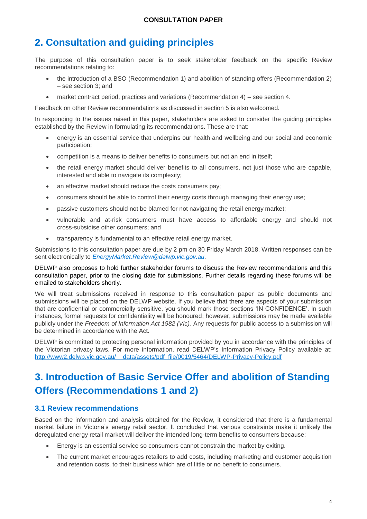# <span id="page-5-0"></span>**2. Consultation and guiding principles**

The purpose of this consultation paper is to seek stakeholder feedback on the specific Review recommendations relating to:

- the introduction of a BSO (Recommendation 1) and abolition of standing offers (Recommendation 2) – see section 3; and
- market contract period, practices and variations (Recommendation 4) see section 4.

Feedback on other Review recommendations as discussed in section 5 is also welcomed.

In responding to the issues raised in this paper, stakeholders are asked to consider the guiding principles established by the Review in formulating its recommendations. These are that:

- energy is an essential service that underpins our health and wellbeing and our social and economic participation;
- competition is a means to deliver benefits to consumers but not an end in itself;
- the retail energy market should deliver benefits to all consumers, not just those who are capable, interested and able to navigate its complexity;
- an effective market should reduce the costs consumers pay;
- consumers should be able to control their energy costs through managing their energy use;
- passive customers should not be blamed for not navigating the retail energy market;
- vulnerable and at-risk consumers must have access to affordable energy and should not cross-subsidise other consumers; and
- transparency is fundamental to an effective retail energy market.

Submissions to this consultation paper are due by 2 pm on 30 Friday March 2018. Written responses can be sent electronically to *[EnergyMarket.Review@delwp.vic.gov.au.](mailto:EnergyMarket.Review@delwp.vic.gov.au)*

#### DELWP also proposes to hold further stakeholder forums to discuss the Review recommendations and this consultation paper, prior to the closing date for submissions. Further details regarding these forums will be emailed to stakeholders shortly.

We will treat submissions received in response to this consultation paper as public documents and submissions will be placed on the DELWP website. If you believe that there are aspects of your submission that are confidential or commercially sensitive, you should mark those sections 'IN CONFIDENCE'. In such instances, formal requests for confidentiality will be honoured; however, submissions may be made available publicly under the *Freedom of Information Act 1982 (Vic).* Any requests for public access to a submission will be determined in accordance with the Act.

DELWP is committed to protecting personal information provided by you in accordance with the principles of the Victorian privacy laws. For more information, read DELWP's Information Privacy Policy available at: [http://www2.delwp.vic.gov.au/\\_\\_data/assets/pdf\\_file/0019/5464/DELWP-Privacy-Policy.pdf](file://///Internal/Groupdata/Energy/Energy/EPP/Energy%20Policy/Retail%20market%20review/Stakeholder%20Engagement/March%202018%20Consultation/Working%20documents%20for%20release%20March%202018/CIC%20paper%20releases/www2.delwp.vic.gov.au/_data/assets/pdf_file/0019/5464/DELWP-Privacy-Policy.pdf)

# <span id="page-5-1"></span>**3. Introduction of Basic Service Offer and abolition of Standing Offers (Recommendations 1 and 2)**

### <span id="page-5-2"></span>**3.1 Review recommendations**

Based on the information and analysis obtained for the Review, it considered that there is a fundamental market failure in Victoria's energy retail sector. It concluded that various constraints make it unlikely the deregulated energy retail market will deliver the intended long-term benefits to consumers because:

- Energy is an essential service so consumers cannot constrain the market by exiting.
- The current market encourages retailers to add costs, including marketing and customer acquisition and retention costs, to their business which are of little or no benefit to consumers.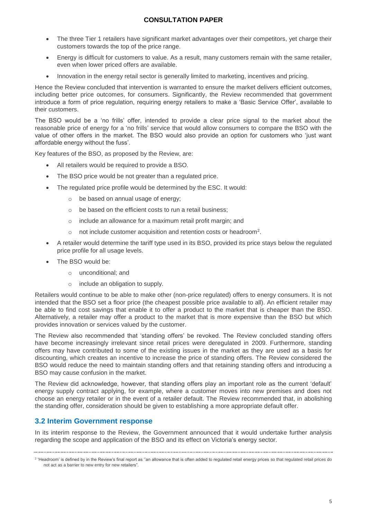- The three Tier 1 retailers have significant market advantages over their competitors, yet charge their customers towards the top of the price range.
- Energy is difficult for customers to value. As a result, many customers remain with the same retailer, even when lower priced offers are available.
- Innovation in the energy retail sector is generally limited to marketing, incentives and pricing.

Hence the Review concluded that intervention is warranted to ensure the market delivers efficient outcomes, including better price outcomes, for consumers. Significantly, the Review recommended that government introduce a form of price regulation, requiring energy retailers to make a 'Basic Service Offer', available to their customers.

The BSO would be a 'no frills' offer, intended to provide a clear price signal to the market about the reasonable price of energy for a 'no frills' service that would allow consumers to compare the BSO with the value of other offers in the market. The BSO would also provide an option for customers who 'just want affordable energy without the fuss'.

Key features of the BSO, as proposed by the Review, are:

- All retailers would be required to provide a BSO.
- The BSO price would be not greater than a regulated price.
- The regulated price profile would be determined by the ESC. It would:
	- o be based on annual usage of energy;
	- $\circ$  be based on the efficient costs to run a retail business;
	- o include an allowance for a maximum retail profit margin; and
	- $\circ$  not include customer acquisition and retention costs or headroom<sup>2</sup>.
- A retailer would determine the tariff type used in its BSO, provided its price stays below the regulated price profile for all usage levels.
- The BSO would be:
	- o unconditional; and
	- o include an obligation to supply.

Retailers would continue to be able to make other (non-price regulated) offers to energy consumers. It is not intended that the BSO set a floor price (the cheapest possible price available to all). An efficient retailer may be able to find cost savings that enable it to offer a product to the market that is cheaper than the BSO. Alternatively, a retailer may offer a product to the market that is more expensive than the BSO but which provides innovation or services valued by the customer.

The Review also recommended that 'standing offers' be revoked. The Review concluded standing offers have become increasingly irrelevant since retail prices were deregulated in 2009. Furthermore, standing offers may have contributed to some of the existing issues in the market as they are used as a basis for discounting, which creates an incentive to increase the price of standing offers. The Review considered the BSO would reduce the need to maintain standing offers and that retaining standing offers and introducing a BSO may cause confusion in the market.

The Review did acknowledge, however, that standing offers play an important role as the current 'default' energy supply contract applying, for example, where a customer moves into new premises and does not choose an energy retailer or in the event of a retailer default. The Review recommended that, in abolishing the standing offer, consideration should be given to establishing a more appropriate default offer.

### <span id="page-6-0"></span>**3.2 Interim Government response**

In its interim response to the Review, the Government announced that it would undertake further analysis regarding the scope and application of the BSO and its effect on Victoria's energy sector.

<sup>&</sup>lt;sup>2</sup> 'Headroom' is defined by in the Review's final report as "an allowance that is often added to regulated retail energy prices so that regulated retail prices do not act as a barrier to new entry for new retailers".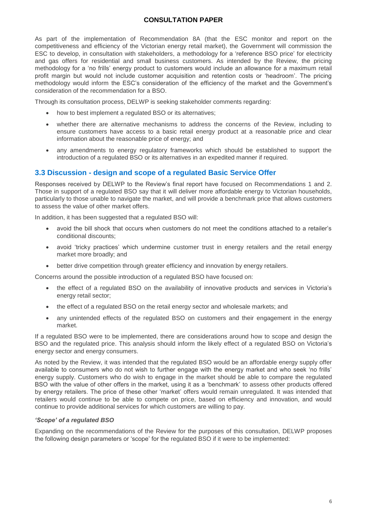As part of the implementation of Recommendation 8A (that the ESC monitor and report on the competitiveness and efficiency of the Victorian energy retail market), the Government will commission the ESC to develop, in consultation with stakeholders, a methodology for a 'reference BSO price' for electricity and gas offers for residential and small business customers. As intended by the Review, the pricing methodology for a 'no frills' energy product to customers would include an allowance for a maximum retail profit margin but would not include customer acquisition and retention costs or 'headroom'. The pricing methodology would inform the ESC's consideration of the efficiency of the market and the Government's consideration of the recommendation for a BSO.

Through its consultation process, DELWP is seeking stakeholder comments regarding:

- how to best implement a regulated BSO or its alternatives;
- whether there are alternative mechanisms to address the concerns of the Review, including to ensure customers have access to a basic retail energy product at a reasonable price and clear information about the reasonable price of energy; and
- any amendments to energy regulatory frameworks which should be established to support the introduction of a regulated BSO or its alternatives in an expedited manner if required.

### <span id="page-7-0"></span>**3.3 Discussion - design and scope of a regulated Basic Service Offer**

Responses received by DELWP to the Review's final report have focused on Recommendations 1 and 2. Those in support of a regulated BSO say that it will deliver more affordable energy to Victorian households, particularly to those unable to navigate the market, and will provide a benchmark price that allows customers to assess the value of other market offers.

In addition, it has been suggested that a regulated BSO will:

- avoid the bill shock that occurs when customers do not meet the conditions attached to a retailer's conditional discounts;
- avoid 'tricky practices' which undermine customer trust in energy retailers and the retail energy market more broadly; and
- better drive competition through greater efficiency and innovation by energy retailers.

Concerns around the possible introduction of a regulated BSO have focused on:

- the effect of a regulated BSO on the availability of innovative products and services in Victoria's energy retail sector;
- the effect of a regulated BSO on the retail energy sector and wholesale markets; and
- any unintended effects of the regulated BSO on customers and their engagement in the energy market.

If a regulated BSO were to be implemented, there are considerations around how to scope and design the BSO and the regulated price. This analysis should inform the likely effect of a regulated BSO on Victoria's energy sector and energy consumers.

As noted by the Review, it was intended that the regulated BSO would be an affordable energy supply offer available to consumers who do not wish to further engage with the energy market and who seek 'no frills' energy supply. Customers who do wish to engage in the market should be able to compare the regulated BSO with the value of other offers in the market, using it as a 'benchmark' to assess other products offered by energy retailers. The price of these other 'market' offers would remain unregulated. It was intended that retailers would continue to be able to compete on price, based on efficiency and innovation, and would continue to provide additional services for which customers are willing to pay.

#### *'Scope' of a regulated BSO*

Expanding on the recommendations of the Review for the purposes of this consultation, DELWP proposes the following design parameters or 'scope' for the regulated BSO if it were to be implemented: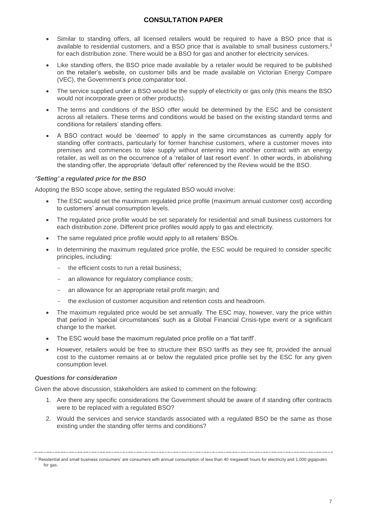- Similar to standing offers, all licensed retailers would be required to have a BSO price that is available to residential customers, and a BSO price that is available to small business customers,<sup>3</sup> for each distribution zone. There would be a BSO for gas and another for electricity services.
- Like standing offers, the BSO price made available by a retailer would be required to be published on the retailer's website, on customer bills and be made available on Victorian Energy Compare (VEC), the Government's price comparator tool.
- The service supplied under a BSO would be the supply of electricity or gas only (this means the BSO would not incorporate green or other products).
- The terms and conditions of the BSO offer would be determined by the ESC and be consistent across all retailers. These terms and conditions would be based on the existing standard terms and conditions for retailers' standing offers.
- A BSO contract would be 'deemed' to apply in the same circumstances as currently apply for standing offer contracts, particularly for former franchise customers, where a customer moves into premises and commences to take supply without entering into another contract with an energy retailer, as well as on the occurrence of a 'retailer of last resort event'. In other words, in abolishing the standing offer, the appropriate 'default offer' referenced by the Review would be the BSO.

#### *'Setting' a regulated price for the BSO*

Adopting the BSO scope above, setting the regulated BSO would involve:

- The ESC would set the maximum regulated price profile (maximum annual customer cost) according to customers' annual consumption levels.
- The regulated price profile would be set separately for residential and small business customers for each distribution zone. Different price profiles would apply to gas and electricity.
- The same regulated price profile would apply to all retailers' BSOs.
- In determining the maximum regulated price profile, the ESC would be required to consider specific principles, including:
	- the efficient costs to run a retail business;
	- an allowance for regulatory compliance costs;
	- an allowance for an appropriate retail profit margin; and
	- the exclusion of customer acquisition and retention costs and headroom.
- The maximum regulated price would be set annually. The ESC may, however, vary the price within that period in 'special circumstances' such as a Global Financial Crisis-type event or a significant change to the market.
- The ESC would base the maximum regulated price profile on a 'flat tariff'.
- However, retailers would be free to structure their BSO tariffs as they see fit, provided the annual cost to the customer remains at or below the regulated price profile set by the ESC for any given consumption level.

#### *Questions for consideration*

Given the above discussion, stakeholders are asked to comment on the following:

- 1. Are there any specific considerations the Government should be aware of if standing offer contracts were to be replaced with a regulated BSO?
- 2. Would the services and service standards associated with a regulated BSO be the same as those existing under the standing offer terms and conditions?

<sup>&</sup>lt;sup>3</sup> 'Residential and small business consumers' are consumers with annual consumption of less than 40 megawatt hours for electricity and 1,000 gigajoules for gas.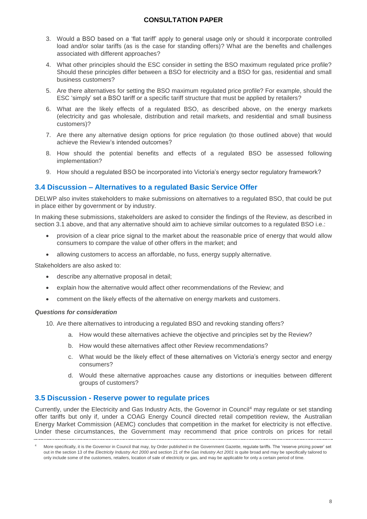- 3. Would a BSO based on a 'flat tariff' apply to general usage only or should it incorporate controlled load and/or solar tariffs (as is the case for standing offers)? What are the benefits and challenges associated with different approaches?
- 4. What other principles should the ESC consider in setting the BSO maximum regulated price profile? Should these principles differ between a BSO for electricity and a BSO for gas, residential and small business customers?
- 5. Are there alternatives for setting the BSO maximum regulated price profile? For example, should the ESC 'simply' set a BSO tariff or a specific tariff structure that must be applied by retailers?
- 6. What are the likely effects of a regulated BSO, as described above, on the energy markets (electricity and gas wholesale, distribution and retail markets, and residential and small business customers)?
- 7. Are there any alternative design options for price regulation (to those outlined above) that would achieve the Review's intended outcomes?
- 8. How should the potential benefits and effects of a regulated BSO be assessed following implementation?
- 9. How should a regulated BSO be incorporated into Victoria's energy sector regulatory framework?

### <span id="page-9-0"></span>**3.4 Discussion – Alternatives to a regulated Basic Service Offer**

DELWP also invites stakeholders to make submissions on alternatives to a regulated BSO, that could be put in place either by government or by industry.

In making these submissions, stakeholders are asked to consider the findings of the Review, as described in section 3.1 above, and that any alternative should aim to achieve similar outcomes to a regulated BSO i.e.:

- provision of a clear price signal to the market about the reasonable price of energy that would allow consumers to compare the value of other offers in the market; and
- allowing customers to access an affordable, no fuss, energy supply alternative.

Stakeholders are also asked to:

- describe any alternative proposal in detail;
- explain how the alternative would affect other recommendations of the Review; and
- comment on the likely effects of the alternative on energy markets and customers.

#### *Questions for consideration*

10. Are there alternatives to introducing a regulated BSO and revoking standing offers?

- a. How would these alternatives achieve the objective and principles set by the Review?
- b. How would these alternatives affect other Review recommendations?
- c. What would be the likely effect of these alternatives on Victoria's energy sector and energy consumers?
- d. Would these alternative approaches cause any distortions or inequities between different groups of customers?

#### <span id="page-9-1"></span>**3.5 Discussion - Reserve power to regulate prices**

Currently, under the Electricity and Gas Industry Acts, the Governor in Council<sup>4</sup> may regulate or set standing offer tariffs but only if, under a COAG Energy Council directed retail competition review, the Australian Energy Market Commission (AEMC) concludes that competition in the market for electricity is not effective. Under these circumstances, the Government may recommend that price controls on prices for retail

More specifically, it is the Governor in Council that may, by Order published in the Government Gazette, regulate tariffs. The 'reserve pricing power' set out in the section 13 of the *Electricity Industry Act 2000* and section 21 of the *Gas Industry Act 2001* is quite broad and may be specifically tailored to only include some of the customers, retailers, location of sale of electricity or gas, and may be applicable for only a certain period of time.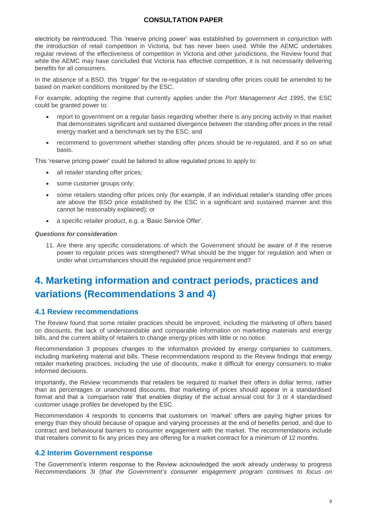electricity be reintroduced. This 'reserve pricing power' was established by government in conjunction with the introduction of retail competition in Victoria, but has never been used. While the AEMC undertakes regular reviews of the effectiveness of competition in Victoria and other jurisdictions, the Review found that while the AEMC may have concluded that Victoria has effective competition, it is not necessarily delivering benefits for all consumers.

In the absence of a BSO, this 'trigger' for the re-regulation of standing offer prices could be amended to be based on market conditions monitored by the ESC.

For example, adopting the regime that currently applies under the *Port Management Act 1995*, the ESC could be granted power to:

- report to government on a regular basis regarding whether there is any pricing activity in that market that demonstrates significant and sustained divergence between the standing offer prices in the retail energy market and a benchmark set by the ESC; and
- recommend to government whether standing offer prices should be re-regulated, and if so on what basis.

This 'reserve pricing power' could be tailored to allow regulated prices to apply to:

- all retailer standing offer prices;
- some customer groups only;
- some retailers standing offer prices only (for example, if an individual retailer's standing offer prices are above the BSO price established by the ESC in a significant and sustained manner and this cannot be reasonably explained); or
- a specific retailer product, e.g. a 'Basic Service Offer'.

#### *Questions for consideration*

11. Are there any specific considerations of which the Government should be aware of if the reserve power to regulate prices was strengthened? What should be the trigger for regulation and when or under what circumstances should the regulated price requirement end?

# <span id="page-10-0"></span>**4. Marketing information and contract periods, practices and variations (Recommendations 3 and 4)**

#### <span id="page-10-1"></span>**4.1 Review recommendations**

The Review found that some retailer practices should be improved, including the marketing of offers based on discounts, the lack of understandable and comparable information on marketing materials and energy bills, and the current ability of retailers to change energy prices with little or no notice.

Recommendation 3 proposes changes to the information provided by energy companies to customers, including marketing material and bills. These recommendations respond to the Review findings that energy retailer marketing practices, including the use of discounts, make it difficult for energy consumers to make informed decisions.

Importantly, the Review recommends that retailers be required to market their offers in dollar terms, rather than as percentages or unanchored discounts, that marketing of prices should appear in a standardised format and that a 'comparison rate' that enables display of the actual annual cost for 3 or 4 standardised customer usage profiles be developed by the ESC.

Recommendation 4 responds to concerns that customers on 'market' offers are paying higher prices for energy than they should because of opaque and varying processes at the end of benefits period, and due to contract and behavioural barriers to consumer engagement with the market. The recommendations include that retailers commit to fix any prices they are offering for a market contract for a minimum of 12 months.

#### <span id="page-10-2"></span>**4.2 Interim Government response**

The Government's interim response to the Review acknowledged the work already underway to progress Recommendations 3I (*that the Government's consumer engagement program continues to focus on*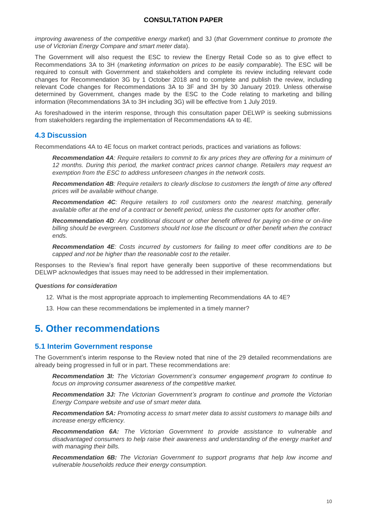*improving awareness of the competitive energy market*) and 3J (*that Government continue to promote the use of Victorian Energy Compare and smart meter data*).

The Government will also request the ESC to review the Energy Retail Code so as to give effect to Recommendations 3A to 3H (*marketing information on prices to be easily comparable*). The ESC will be required to consult with Government and stakeholders and complete its review including relevant code changes for Recommendation 3G by 1 October 2018 and to complete and publish the review, including relevant Code changes for Recommendations 3A to 3F and 3H by 30 January 2019. Unless otherwise determined by Government, changes made by the ESC to the Code relating to marketing and billing information (Recommendations 3A to 3H including 3G) will be effective from 1 July 2019.

As foreshadowed in the interim response, through this consultation paper DELWP is seeking submissions from stakeholders regarding the implementation of Recommendations 4A to 4E.

#### <span id="page-11-0"></span>**4.3 Discussion**

Recommendations 4A to 4E focus on market contract periods, practices and variations as follows:

*Recommendation 4A: Require retailers to commit to fix any prices they are offering for a minimum of 12 months. During this period, the market contract prices cannot change. Retailers may request an exemption from the ESC to address unforeseen changes in the network costs.*

*Recommendation 4B: Require retailers to clearly disclose to customers the length of time any offered prices will be available without change.*

*Recommendation 4C: Require retailers to roll customers onto the nearest matching, generally available offer at the end of a contract or benefit period, unless the customer opts for another offer.*

*Recommendation 4D: Any conditional discount or other benefit offered for paying on-time or on-line billing should be evergreen. Customers should not lose the discount or other benefit when the contract ends.*

*Recommendation 4E: Costs incurred by customers for failing to meet offer conditions are to be capped and not be higher than the reasonable cost to the retailer.*

Responses to the Review's final report have generally been supportive of these recommendations but DELWP acknowledges that issues may need to be addressed in their implementation.

#### *Questions for consideration*

- 12. What is the most appropriate approach to implementing Recommendations 4A to 4E?
- 13. How can these recommendations be implemented in a timely manner?

# <span id="page-11-1"></span>**5. Other recommendations**

#### <span id="page-11-2"></span>**5.1 Interim Government response**

The Government's interim response to the Review noted that nine of the 29 detailed recommendations are already being progressed in full or in part. These recommendations are:

*Recommendation 3I: The Victorian Government's consumer engagement program to continue to focus on improving consumer awareness of the competitive market.* 

*Recommendation 3J: The Victorian Government's program to continue and promote the Victorian Energy Compare website and use of smart meter data.*

*Recommendation 5A: Promoting access to smart meter data to assist customers to manage bills and increase energy efficiency.*

*Recommendation 6A: The Victorian Government to provide assistance to vulnerable and disadvantaged consumers to help raise their awareness and understanding of the energy market and with managing their bills.*

*Recommendation 6B: The Victorian Government to support programs that help low income and vulnerable households reduce their energy consumption.*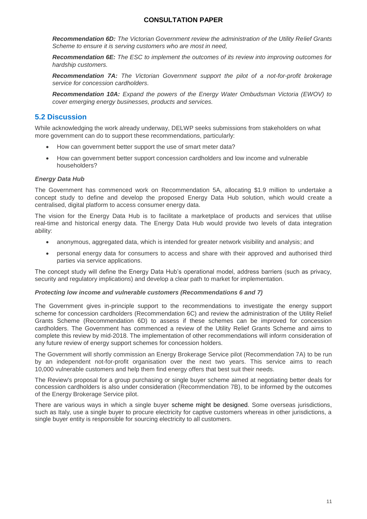*Recommendation 6D: The Victorian Government review the administration of the Utility Relief Grants Scheme to ensure it is serving customers who are most in need,*

*Recommendation 6E: The ESC to implement the outcomes of its review into improving outcomes for hardship customers.* 

*Recommendation 7A: The Victorian Government support the pilot of a not-for-profit brokerage service for concession cardholders.*

*Recommendation 10A: Expand the powers of the Energy Water Ombudsman Victoria (EWOV) to cover emerging energy businesses, products and services.*

# <span id="page-12-0"></span>**5.2 Discussion**

While acknowledging the work already underway, DELWP seeks submissions from stakeholders on what more government can do to support these recommendations, particularly:

- How can government better support the use of smart meter data?
- How can government better support concession cardholders and low income and vulnerable householders?

#### *Energy Data Hub*

The Government has commenced work on Recommendation 5A, allocating \$1.9 million to undertake a concept study to define and develop the proposed Energy Data Hub solution, which would create a centralised, digital platform to access consumer energy data.

The vision for the Energy Data Hub is to facilitate a marketplace of products and services that utilise real-time and historical energy data. The Energy Data Hub would provide two levels of data integration ability:

- anonymous, aggregated data, which is intended for greater network visibility and analysis; and
- personal energy data for consumers to access and share with their approved and authorised third parties via service applications.

The concept study will define the Energy Data Hub's operational model, address barriers (such as privacy, security and regulatory implications) and develop a clear path to market for implementation.

#### *Protecting low income and vulnerable customers (Recommendations 6 and 7)*

The Government gives in-principle support to the recommendations to investigate the energy support scheme for concession cardholders (Recommendation 6C) and review the administration of the Utility Relief Grants Scheme (Recommendation 6D) to assess if these schemes can be improved for concession cardholders. The Government has commenced a review of the Utility Relief Grants Scheme and aims to complete this review by mid-2018. The implementation of other recommendations will inform consideration of any future review of energy support schemes for concession holders.

The Government will shortly commission an Energy Brokerage Service pilot (Recommendation 7A) to be run by an independent not-for-profit organisation over the next two years. This service aims to reach 10,000 vulnerable customers and help them find energy offers that best suit their needs.

The Review's proposal for a group purchasing or single buyer scheme aimed at negotiating better deals for concession cardholders is also under consideration (Recommendation 7B), to be informed by the outcomes of the Energy Brokerage Service pilot.

There are various ways in which a single buyer scheme might be designed. Some overseas jurisdictions, such as Italy, use a single buyer to procure electricity for captive customers whereas in other jurisdictions, a single buyer entity is responsible for sourcing electricity to all customers.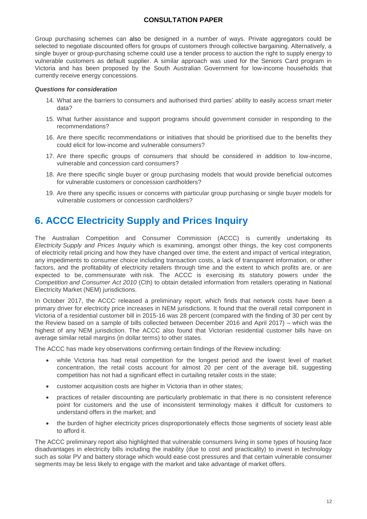Group purchasing schemes can also be designed in a number of ways. Private aggregators could be selected to negotiate discounted offers for groups of customers through collective bargaining. Alternatively, a single buyer or group-purchasing scheme could use a tender process to auction the right to supply energy to vulnerable customers as default supplier. A similar approach was used for the Seniors Card program in Victoria and has been proposed by the South Australian Government for low-income households that currently receive energy concessions.

#### *Questions for consideration*

- 14. What are the barriers to consumers and authorised third parties' ability to easily access smart meter data?
- 15. What further assistance and support programs should government consider in responding to the recommendations?
- 16. Are there specific recommendations or initiatives that should be prioritised due to the benefits they could elicit for low-income and vulnerable consumers?
- 17. Are there specific groups of consumers that should be considered in addition to low-income, vulnerable and concession card consumers?
- 18. Are there specific single buyer or group purchasing models that would provide beneficial outcomes for vulnerable customers or concession cardholders?
- 19. Are there any specific issues or concerns with particular group purchasing or single buyer models for vulnerable customers or concession cardholders?

# <span id="page-13-0"></span>**6. ACCC Electricity Supply and Prices Inquiry**

The Australian Competition and Consumer Commission (ACCC) is currently undertaking its *Electricity Supply and Prices Inquiry* which is examining, amongst other things, the key cost components of electricity retail pricing and how they have changed over time, the extent and impact of vertical integration, any impediments to consumer choice including transaction costs, a lack of transparent information, or other factors, and the profitability of electricity retailers through time and the extent to which profits are, or are expected to be, commensurate with risk. The ACCC is exercising its statutory powers under the *Competition and Consumer Act 2010* (Cth) to obtain detailed information from retailers operating in National Electricity Market (NEM) jurisdictions.

In October 2017, the ACCC released a preliminary report, which finds that network costs have been a primary driver for electricity price increases in NEM jurisdictions. It found that the overall retail component in Victoria of a residential customer bill in 2015-16 was 28 percent (compared with the finding of 30 per cent by the Review based on a sample of bills collected between December 2016 and April 2017) – which was the highest of any NEM jurisdiction. The ACCC also found that Victorian residential customer bills have on average similar retail margins (in dollar terms) to other states.

The ACCC has made key observations confirming certain findings of the Review including:

- while Victoria has had retail competition for the longest period and the lowest level of market concentration, the retail costs account for almost 20 per cent of the average bill, suggesting competition has not had a significant effect in curtailing retailer costs in the state;
- customer acquisition costs are higher in Victoria than in other states;
- practices of retailer discounting are particularly problematic in that there is no consistent reference point for customers and the use of inconsistent terminology makes it difficult for customers to understand offers in the market; and
- the burden of higher electricity prices disproportionately effects those segments of society least able to afford it.

The ACCC preliminary report also highlighted that vulnerable consumers living in some types of housing face disadvantages in electricity bills including the inability (due to cost and practicality) to invest in technology such as solar PV and battery storage which would ease cost pressures and that certain vulnerable consumer segments may be less likely to engage with the market and take advantage of market offers.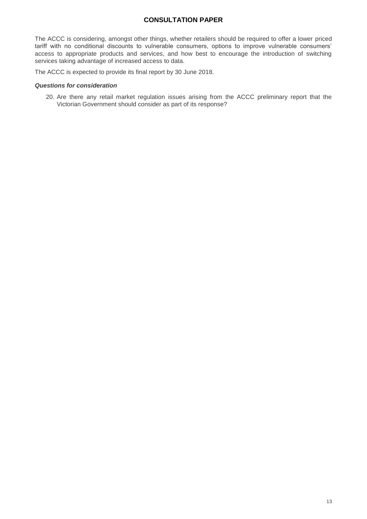The ACCC is considering, amongst other things, whether retailers should be required to offer a lower priced tariff with no conditional discounts to vulnerable consumers, options to improve vulnerable consumers' access to appropriate products and services, and how best to encourage the introduction of switching services taking advantage of increased access to data.

The ACCC is expected to provide its final report by 30 June 2018.

#### *Questions for consideration*

20. Are there any retail market regulation issues arising from the ACCC preliminary report that the Victorian Government should consider as part of its response?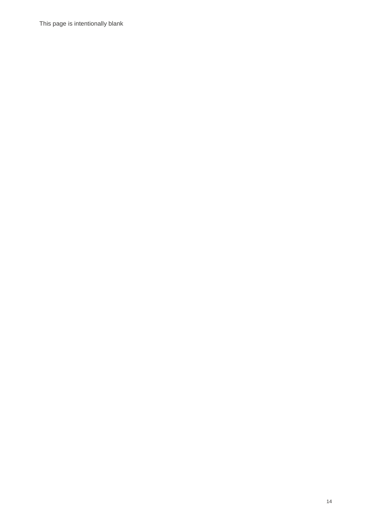This page is intentionally blank